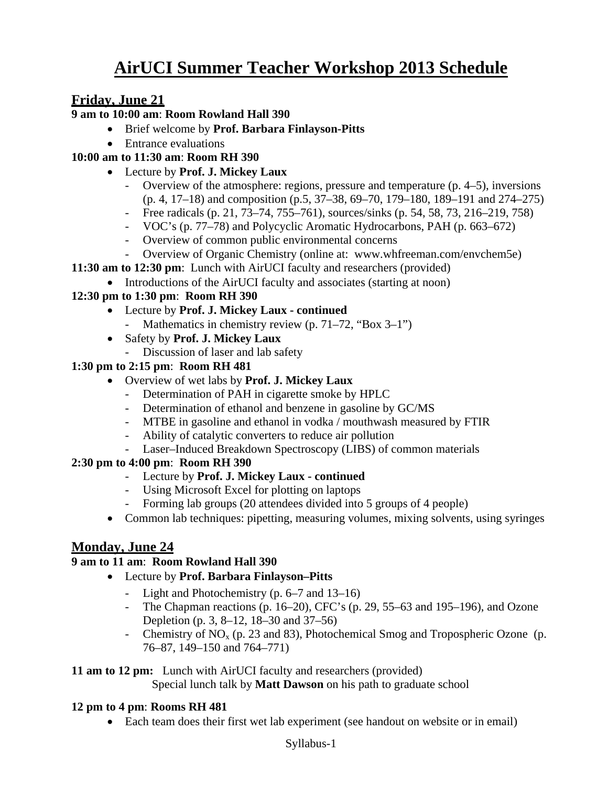# **AirUCI Summer Teacher Workshop 2013 Schedule**

# **Friday, June 21**

#### **9 am to 10:00 am**: **Room Rowland Hall 390**

- Brief welcome by **Prof. Barbara Finlayson-Pitts**
- Entrance evaluations

# **10:00 am to 11:30 am**: **Room RH 390**

- Lecture by **Prof. J. Mickey Laux**
	- Overview of the atmosphere: regions, pressure and temperature (p. 4–5), inversions (p. 4, 17–18) and composition (p.5, 37–38, 69–70, 179–180, 189–191 and 274–275)
	- Free radicals (p. 21, 73–74, 755–761), sources/sinks (p. 54, 58, 73, 216–219, 758)
	- VOC's (p. 77–78) and Polycyclic Aromatic Hydrocarbons, PAH (p. 663–672)
	- Overview of common public environmental concerns
	- Overview of Organic Chemistry (online at: www.whfreeman.com/envchem5e)
- **11:30 am to 12:30 pm**: Lunch with AirUCI faculty and researchers (provided)
	- Introductions of the AirUCI faculty and associates (starting at noon)

# **12:30 pm to 1:30 pm**: **Room RH 390**

- Lecture by **Prof. J. Mickey Laux - continued**
	- Mathematics in chemistry review (p. 71–72, "Box 3–1")
- Safety by **Prof. J. Mickey Laux**
	- Discussion of laser and lab safety

### **1:30 pm to 2:15 pm**: **Room RH 481**

- Overview of wet labs by **Prof. J. Mickey Laux**
	- Determination of PAH in cigarette smoke by HPLC
	- Determination of ethanol and benzene in gasoline by GC/MS
	- MTBE in gasoline and ethanol in vodka / mouthwash measured by FTIR
	- Ability of catalytic converters to reduce air pollution
	- Laser–Induced Breakdown Spectroscopy (LIBS) of common materials

# **2:30 pm to 4:00 pm**: **Room RH 390**

- Lecture by **Prof. J. Mickey Laux - continued**
- Using Microsoft Excel for plotting on laptops
- Forming lab groups (20 attendees divided into 5 groups of 4 people)
- Common lab techniques: pipetting, measuring volumes, mixing solvents, using syringes

# **Monday, June 24**

# **9 am to 11 am**: **Room Rowland Hall 390**

- Lecture by **Prof. Barbara Finlayson–Pitts**
	- Light and Photochemistry (p. 6–7 and 13–16)
	- The Chapman reactions (p. 16–20), CFC's (p. 29, 55–63 and 195–196), and Ozone Depletion (p. 3, 8–12, 18–30 and 37–56)
	- Chemistry of  $NO<sub>x</sub>$  (p. 23 and 83), Photochemical Smog and Tropospheric Ozone (p. 76–87, 149–150 and 764–771)

#### **11 am to 12 pm:** Lunch with AirUCI faculty and researchers (provided)

Special lunch talk by **Matt Dawson** on his path to graduate school

# **12 pm to 4 pm**: **Rooms RH 481**

• Each team does their first wet lab experiment (see handout on website or in email)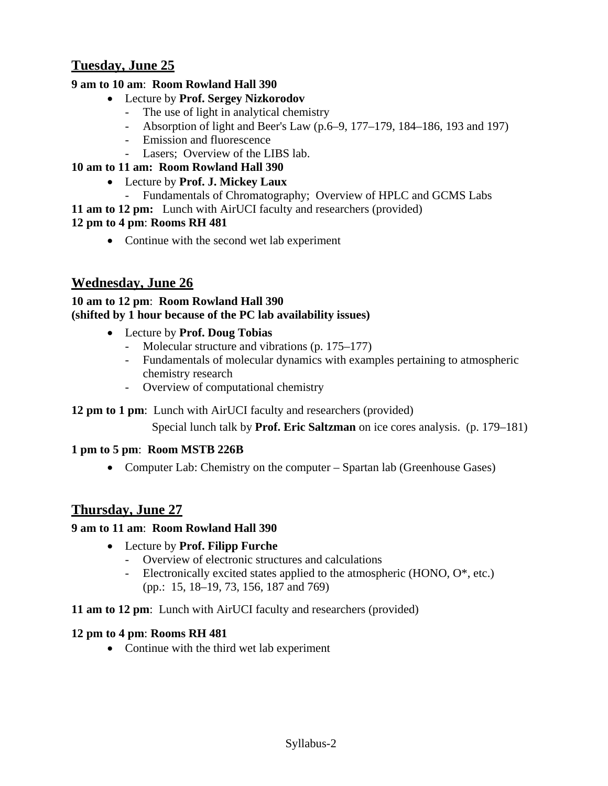# **Tuesday, June 25**

### **9 am to 10 am**: **Room Rowland Hall 390**

- Lecture by **Prof. Sergey Nizkorodov**
	- The use of light in analytical chemistry
	- Absorption of light and Beer's Law (p.6–9, 177–179, 184–186, 193 and 197)
	- Emission and fluorescence
	- Lasers; Overview of the LIBS lab.

### **10 am to 11 am: Room Rowland Hall 390**

- Lecture by **Prof. J. Mickey Laux** 
	- Fundamentals of Chromatography; Overview of HPLC and GCMS Labs

**11 am to 12 pm:** Lunch with AirUCI faculty and researchers (provided)

### **12 pm to 4 pm**: **Rooms RH 481**

• Continue with the second wet lab experiment

# **Wednesday, June 26**

# **10 am to 12 pm**: **Room Rowland Hall 390 (shifted by 1 hour because of the PC lab availability issues)**

- Lecture by **Prof. Doug Tobias**
	- Molecular structure and vibrations (p. 175–177)
	- Fundamentals of molecular dynamics with examples pertaining to atmospheric chemistry research
	- Overview of computational chemistry

#### **12 pm to 1 pm**: Lunch with AirUCI faculty and researchers (provided)

Special lunch talk by **Prof. Eric Saltzman** on ice cores analysis. (p. 179–181)

#### **1 pm to 5 pm**: **Room MSTB 226B**

• Computer Lab: Chemistry on the computer – Spartan lab (Greenhouse Gases)

# **Thursday, June 27**

#### **9 am to 11 am**: **Room Rowland Hall 390**

- Lecture by **Prof. Filipp Furche**
	- Overview of electronic structures and calculations
	- Electronically excited states applied to the atmospheric (HONO, O<sup>\*</sup>, etc.) (pp.: 15, 18–19, 73, 156, 187 and 769)

#### **11 am to 12 pm**: Lunch with AirUCI faculty and researchers (provided)

#### **12 pm to 4 pm**: **Rooms RH 481**

• Continue with the third wet lab experiment